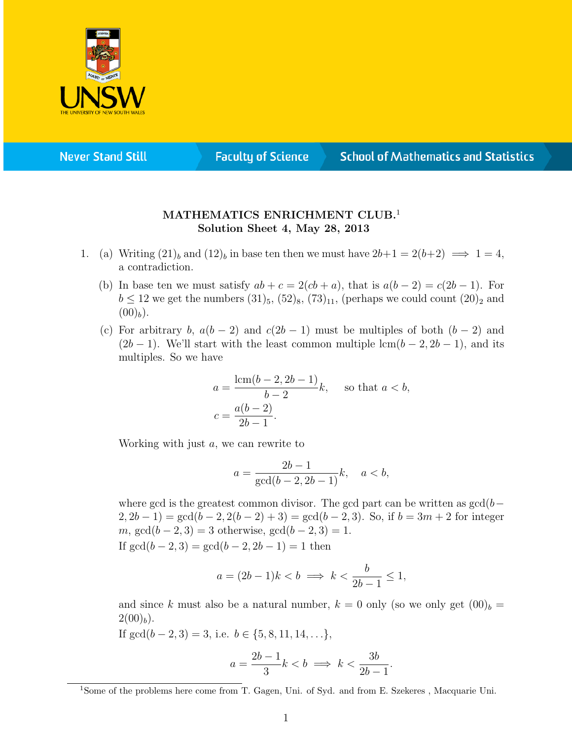

**Never Stand Still** 

**Faculty of Science** 

## **School of Mathematics and Statistics**

## MATHEMATICS ENRICHMENT CLUB.<sup>1</sup> Solution Sheet 4, May 28, 2013

- 1. (a) Writing  $(21)_b$  and  $(12)_b$  in base ten then we must have  $2b+1 = 2(b+2) \implies 1 = 4$ , a contradiction.
	- (b) In base ten we must satisfy  $ab + c = 2(ab + a)$ , that is  $a(b 2) = c(2b 1)$ . For  $b \le 12$  we get the numbers  $(31)_5$ ,  $(52)_8$ ,  $(73)_{11}$ , (perhaps we could count  $(20)_2$  and  $(00)_b$ ).
	- (c) For arbitrary b,  $a(b-2)$  and  $c(2b-1)$  must be multiples of both  $(b-2)$  and  $(2b-1)$ . We'll start with the least common multiple lcm( $b-2, 2b-1$ ), and its multiples. So we have

$$
a = \frac{\text{lcm}(b-2, 2b-1)}{b-2}k, \text{ so that } a < b,
$$
  

$$
c = \frac{a(b-2)}{2b-1}.
$$

Working with just a, we can rewrite to

$$
a = \frac{2b - 1}{\gcd(b - 2, 2b - 1)}k, \quad a < b,
$$

where gcd is the greatest common divisor. The gcd part can be written as  $gcd(b 2, 2b-1$ ) = gcd(b - 2, 2(b - 2) + 3) = gcd(b - 2, 3). So, if b = 3m + 2 for integer m,  $gcd(b-2, 3) = 3$  otherwise,  $gcd(b-2, 3) = 1$ . If  $gcd(b-2, 3) = gcd(b-2, 2b-1) = 1$  then

$$
a = (2b - 1)k < b \implies k < \frac{b}{2b - 1} \le 1,
$$

and since k must also be a natural number,  $k = 0$  only (so we only get  $(00)_b =$  $2(00)<sub>b</sub>$ ).

If  $gcd(b-2, 3) = 3$ , i.e.  $b \in \{5, 8, 11, 14, \ldots\}$ ,

$$
a = \frac{2b - 1}{3}k < b \implies k < \frac{3b}{2b - 1}.
$$

<sup>&</sup>lt;sup>1</sup>Some of the problems here come from T. Gagen, Uni. of Syd. and from E. Szekeres, Macquarie Uni.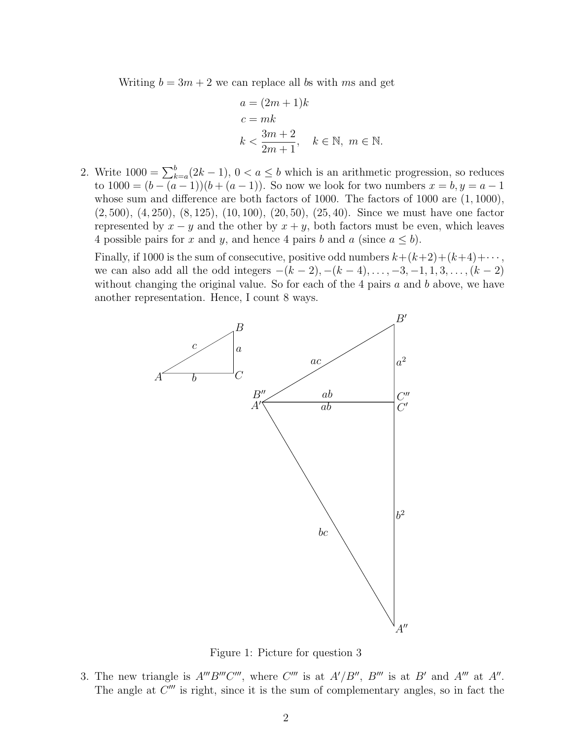Writing  $b = 3m + 2$  we can replace all bs with ms and get

$$
a = (2m + 1)k
$$
  
\n
$$
c = mk
$$
  
\n
$$
k < \frac{3m + 2}{2m + 1}, \quad k \in \mathbb{N}, \ m \in \mathbb{N}.
$$

2. Write  $1000 = \sum_{k=a}^{b} (2k-1)$ ,  $0 < a \le b$  which is an arithmetic progression, so reduces to  $1000 = (b - (a - 1))(b + (a - 1))$ . So now we look for two numbers  $x = b, y = a - 1$ whose sum and difference are both factors of 1000. The factors of 1000 are (1, 1000), (2, 500), (4, 250), (8, 125), (10, 100), (20, 50), (25, 40). Since we must have one factor represented by  $x - y$  and the other by  $x + y$ , both factors must be even, which leaves 4 possible pairs for x and y, and hence 4 pairs b and a (since  $a \leq b$ ).

Finally, if 1000 is the sum of consecutive, positive odd numbers  $k+(k+2)+(k+4)+\cdots$ , we can also add all the odd integers  $-(k-2), -(k-4), \ldots, -3, -1, 1, 3, \ldots, (k-2)$ without changing the original value. So for each of the 4 pairs  $a$  and  $b$  above, we have another representation. Hence, I count 8 ways.



Figure 1: Picture for question 3

3. The new triangle is  $A'''B'''C'''$ , where  $C'''$  is at  $A'/B''$ ,  $B'''$  is at  $B'$  and  $A'''$  at  $A''$ . The angle at  $C'''$  is right, since it is the sum of complementary angles, so in fact the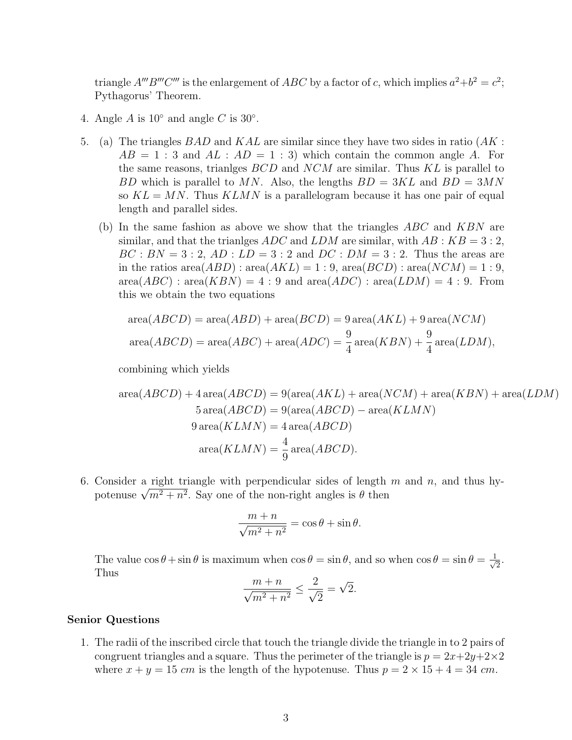triangle  $A'''B'''C'''$  is the enlargement of ABC by a factor of c, which implies  $a^2+b^2=c^2$ ; Pythagorus' Theorem.

- 4. Angle  $A$  is  $10^{\circ}$  and angle  $C$  is  $30^{\circ}$ .
- 5. (a) The triangles  $BAD$  and  $KAL$  are similar since they have two sides in ratio  $(AK:$  $AB = 1:3$  and  $AL : AD = 1:3$ ) which contain the common angle A. For the same reasons, trianlges BCD and NCM are similar. Thus KL is parallel to BD which is parallel to MN. Also, the lengths  $BD = 3KL$  and  $BD = 3MN$ so  $KL = MN$ . Thus  $KLMN$  is a parallelogram because it has one pair of equal length and parallel sides.
	- (b) In the same fashion as above we show that the triangles  $ABC$  and  $KBN$  are similar, and that the trianlges ADC and LDM are similar, with  $AB : KB = 3 : 2$ ,  $BC : BN = 3 : 2, AD : LD = 3 : 2$  and  $DC : DM = 3 : 2$ . Thus the areas are in the ratios area $(ABD)$ : area $(AKL) = 1:9$ , area $(BCD)$ : area $(NCM) = 1:9$ ,  $area(ABC) : area(KBN) = 4 : 9$  and  $area(ADC) : area(LDM) = 4 : 9$ . From this we obtain the two equations

$$
area(ABCD) = area(ABD) + area(BCD) = 9 area(AKL) + 9 area(NCM)
$$

$$
area(ABCD) = area(ABC) + area(ADC) = \frac{9}{4} area(KBN) + \frac{9}{4} area(LDM),
$$

combining which yields

area(*ABCD*) + 4 area(*ABCD*) = 9(area(*AKL*) + area(*NCM*) + area(*KBN*) + area(*LDM*)  
\n5 area(*ABCD*) = 9(area(*ABCD*) - area(*KLMN*)  
\n9 area(*KLMN*) = 4 area(*ABCD*)  
\narea(*KLMN*) = 
$$
\frac{4}{9}
$$
 area(*ABCD*).

6. Consider a right triangle with perpendicular sides of length  $m$  and  $n$ , and thus hy-Consider a right triangle with perpendicular sides of length<br>potenuse  $\sqrt{m^2 + n^2}$ . Say one of the non-right angles is  $\theta$  then

$$
\frac{m+n}{\sqrt{m^2+n^2}} = \cos\theta + \sin\theta.
$$

The value  $\cos \theta + \sin \theta$  is maximum when  $\cos \theta = \sin \theta$ , and so when  $\cos \theta = \sin \theta = \frac{1}{\sqrt{2}}$  $\frac{1}{2}$ . Thus √

$$
\frac{m+n}{\sqrt{m^2+n^2}} \le \frac{2}{\sqrt{2}} = \sqrt{2}.
$$

## Senior Questions

1. The radii of the inscribed circle that touch the triangle divide the triangle in to 2 pairs of congruent triangles and a square. Thus the perimeter of the triangle is  $p = 2x+2y+2\times 2$ where  $x + y = 15$  cm is the length of the hypotenuse. Thus  $p = 2 \times 15 + 4 = 34$  cm.